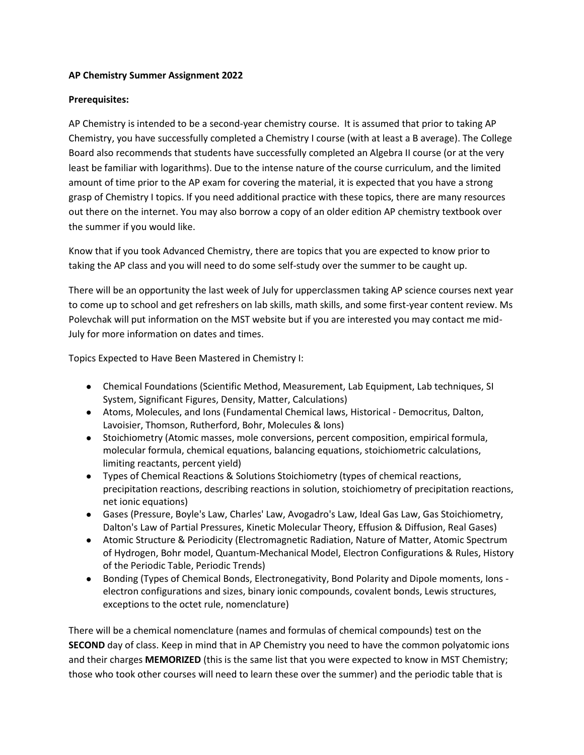## **AP Chemistry Summer Assignment 2022**

## **Prerequisites:**

AP Chemistry is intended to be a second-year chemistry course. It is assumed that prior to taking AP Chemistry, you have successfully completed a Chemistry I course (with at least a B average). The College Board also recommends that students have successfully completed an Algebra II course (or at the very least be familiar with logarithms). Due to the intense nature of the course curriculum, and the limited amount of time prior to the AP exam for covering the material, it is expected that you have a strong grasp of Chemistry I topics. If you need additional practice with these topics, there are many resources out there on the internet. You may also borrow a copy of an older edition AP chemistry textbook over the summer if you would like.

Know that if you took Advanced Chemistry, there are topics that you are expected to know prior to taking the AP class and you will need to do some self-study over the summer to be caught up.

There will be an opportunity the last week of July for upperclassmen taking AP science courses next year to come up to school and get refreshers on lab skills, math skills, and some first-year content review. Ms Polevchak will put information on the MST website but if you are interested you may contact me mid-July for more information on dates and times.

Topics Expected to Have Been Mastered in Chemistry I:

- Chemical Foundations (Scientific Method, Measurement, Lab Equipment, Lab techniques, SI System, Significant Figures, Density, Matter, Calculations)
- Atoms, Molecules, and Ions (Fundamental Chemical laws, Historical Democritus, Dalton, Lavoisier, Thomson, Rutherford, Bohr, Molecules & Ions)
- Stoichiometry (Atomic masses, mole conversions, percent composition, empirical formula, molecular formula, chemical equations, balancing equations, stoichiometric calculations, limiting reactants, percent yield)
- Types of Chemical Reactions & Solutions Stoichiometry (types of chemical reactions, precipitation reactions, describing reactions in solution, stoichiometry of precipitation reactions, net ionic equations)
- Gases (Pressure, Boyle's Law, Charles' Law, Avogadro's Law, Ideal Gas Law, Gas Stoichiometry, Dalton's Law of Partial Pressures, Kinetic Molecular Theory, Effusion & Diffusion, Real Gases)
- Atomic Structure & Periodicity (Electromagnetic Radiation, Nature of Matter, Atomic Spectrum of Hydrogen, Bohr model, Quantum-Mechanical Model, Electron Configurations & Rules, History of the Periodic Table, Periodic Trends)
- Bonding (Types of Chemical Bonds, Electronegativity, Bond Polarity and Dipole moments, Ions electron configurations and sizes, binary ionic compounds, covalent bonds, Lewis structures, exceptions to the octet rule, nomenclature)

There will be a chemical nomenclature (names and formulas of chemical compounds) test on the **SECOND** day of class. Keep in mind that in AP Chemistry you need to have the common polyatomic ions and their charges **MEMORIZED** (this is the same list that you were expected to know in MST Chemistry; those who took other courses will need to learn these over the summer) and the periodic table that is